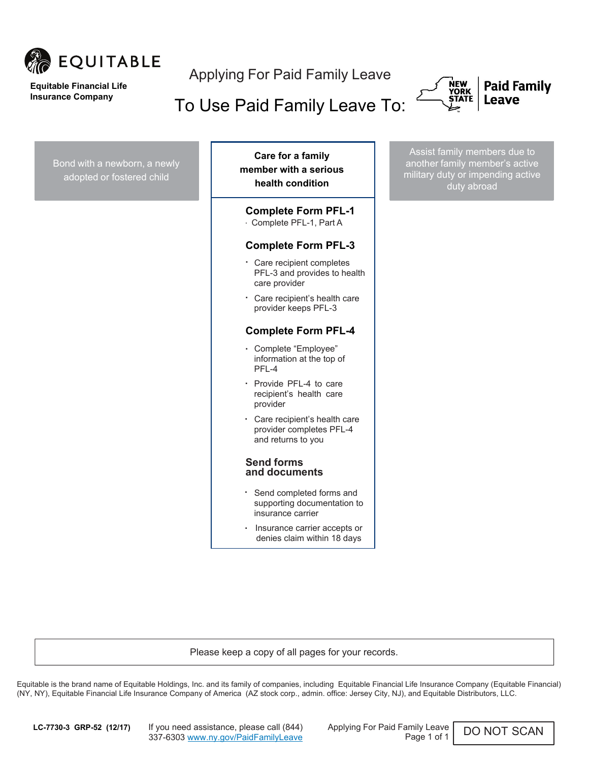

#### **Equitable Financial Life Insurance Company**

Applying For Paid Family Leave

To Use Paid Family Leave To:





Bond with a newborn, a newly adopted or fostered child . Complete "Employee" . Provide PFL-4 to care . Assist family members due to another family member's active military duty or impending active duty abroad . . . . Care recipient's health care **Care for a family member with a serious health condition**  . Complete PFL-1, Part A **Complete Form PFL-1 Complete Form PFL-3** Care recipient completes PFL-3 and provides to health care provider provider keeps PFL-3 **Complete Form PFL-4** information at the top of PFL-4 recipient's health care provider Care recipient's health care provider completes PFL-4 and returns to you **Send forms and documents** Send completed forms and supporting documentation to insurance carrier Insurance carrier accepts or denies claim within 18 days

Please keep a copy of all pages for your records.

Equitable is the brand name of Equitable Holdings, Inc. and its family of companies, including Equitable Financial Life Insurance Company (Equitable Financial) (NY, NY), Equitable Financial Life Insurance Company of America (AZ stock corp., admin. office: Jersey City, NJ), and Equitable Distributors, LLC.

**LC-7730-3 GRP-52 (12/17)** If you need assistance, please call (844) Applying For Paid Family Leave 337-6303 www.ny.gov/PaidFamilyLeave

Page 1 of 1

DO NOT SCAN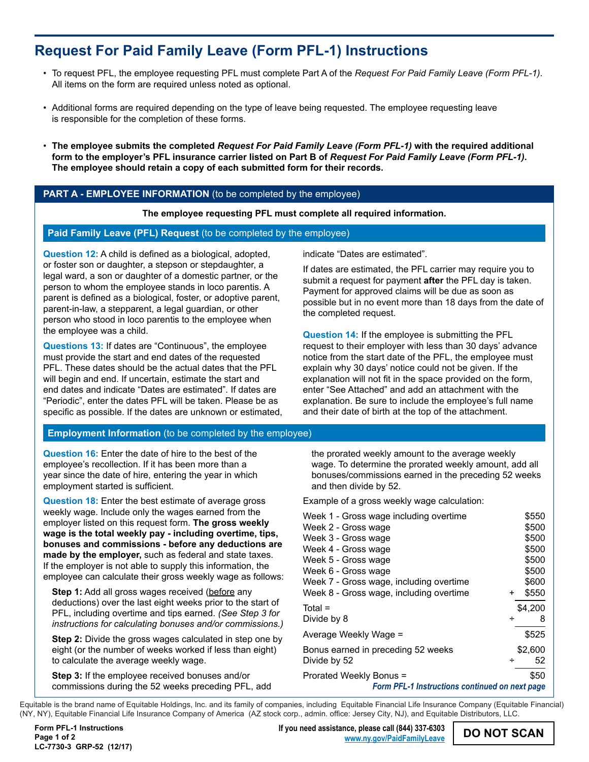# **Request For Paid Family Leave (Form PFL-1) Instructions**

- To request PFL, the employee requesting PFL must complete Part A of the *Request For Paid Family Leave (Form PFL-1)*. All items on the form are required unless noted as optional.
- Additional forms are required depending on the type of leave being requested. The employee requesting leave is responsible for the completion of these forms.
- **The employee submits the completed** *Request For Paid Family Leave (Form PFL-1)* **with the required additional form to the employer's PFL insurance carrier listed on Part B of** *Request For Paid Family Leave (Form PFL-1)***. The employee should retain a copy of each submitted form for their records.**

# PART A - EMPLOYEE INFORMATION (to be completed by the employee)

**The employee requesting PFL must complete all required information.**

## **Paid Family Leave (PFL) Request** (to be completed by the employee)

**Question 12:** A child is defined as a biological, adopted, or foster son or daughter, a stepson or stepdaughter, a legal ward, a son or daughter of a domestic partner, or the person to whom the employee stands in loco parentis. A parent is defined as a biological, foster, or adoptive parent, parent-in-law, a stepparent, a legal guardian, or other person who stood in loco parentis to the employee when the employee was a child.

**Questions 13:** If dates are "Continuous", the employee must provide the start and end dates of the requested PFL. These dates should be the actual dates that the PFL will begin and end. If uncertain, estimate the start and end dates and indicate "Dates are estimated". If dates are "Periodic", enter the dates PFL will be taken. Please be as specific as possible. If the dates are unknown or estimated, indicate "Dates are estimated".

If dates are estimated, the PFL carrier may require you to submit a request for payment **after** the PFL day is taken. Payment for approved claims will be due as soon as possible but in no event more than 18 days from the date of the completed request.

**Question 14:** If the employee is submitting the PFL request to their employer with less than 30 days' advance notice from the start date of the PFL, the employee must explain why 30 days' notice could not be given. If the explanation will not fit in the space provided on the form, enter "See Attached" and add an attachment with the explanation. Be sure to include the employee's full name and their date of birth at the top of the attachment.

## **Employment Information** (to be completed by the employee)

**Question 16:** Enter the date of hire to the best of the employee's recollection. If it has been more than a year since the date of hire, entering the year in which employment started is sufficient.

**Question 18:** Enter the best estimate of average gross weekly wage. Include only the wages earned from the employer listed on this request form. **The gross weekly wage is the total weekly pay - including overtime, tips, bonuses and commissions - before any deductions are made by the employer,** such as federal and state taxes. If the employer is not able to supply this information, the employee can calculate their gross weekly wage as follows:

**Step 1:** Add all gross wages received (before any deductions) over the last eight weeks prior to the start of PFL, including overtime and tips earned. *(See Step 3 for instructions for calculating bonuses and/or commissions.)*

**Step 2:** Divide the gross wages calculated in step one by eight (or the number of weeks worked if less than eight) to calculate the average weekly wage.

**Step 3:** If the employee received bonuses and/or commissions during the 52 weeks preceding PFL, add

the prorated weekly amount to the average weekly wage. To determine the prorated weekly amount, add all bonuses/commissions earned in the preceding 52 weeks and then divide by 52.

Example of a gross weekly wage calculation:

| Week 1 - Gross wage including overtime         |           | \$550   |
|------------------------------------------------|-----------|---------|
| Week 2 - Gross wage                            |           | \$500   |
| Week 3 - Gross wage                            |           | \$500   |
| Week 4 - Gross wage                            |           | \$500   |
| Week 5 - Gross wage                            |           | \$500   |
| Week 6 - Gross wage                            |           | \$500   |
| Week 7 - Gross wage, including overtime        |           | \$600   |
| Week 8 - Gross wage, including overtime        | $\ddot{}$ | \$550   |
| $Total =$                                      |           | \$4,200 |
| Divide by 8                                    | ÷         | 8       |
| Average Weekly Wage =                          |           | \$525   |
| Bonus earned in preceding 52 weeks             |           | \$2,600 |
| Divide by 52                                   | ÷         | 52      |
| Prorated Weekly Bonus =                        |           | \$50    |
| Form PFL-1 Instructions continued on next page |           |         |

Equitable is the brand name of Equitable Holdings, Inc. and its family of companies, including Equitable Financial Life Insurance Company (Equitable Financial) (NY, NY), Equitable Financial Life Insurance Company of America (AZ stock corp., admin. office: Jersey City, NJ), and Equitable Distributors, LLC.

**DO NOT SCAN If you need assistance, please call (844) 337-6303 [www.ny.gov/PaidFamilyLeave](http://www.ny.gov/PaidFamilyLeave)**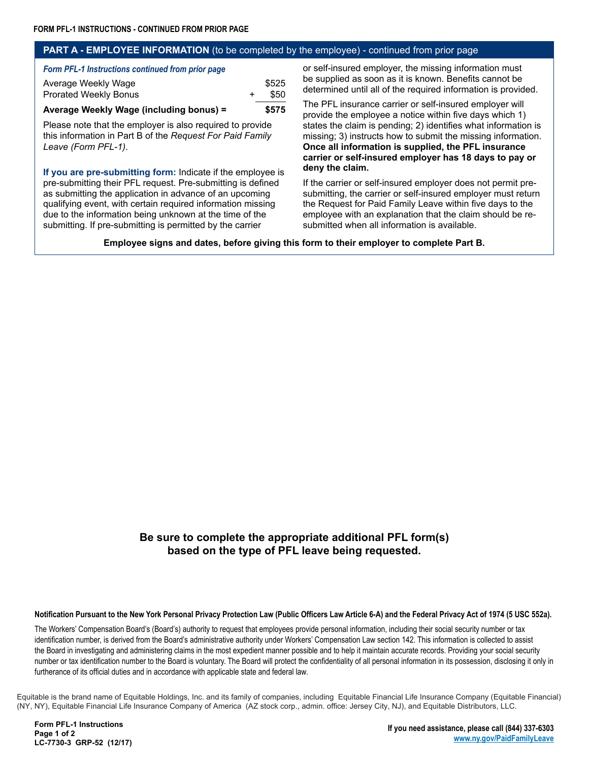#### **PART A - EMPLOYEE INFORMATION** (to be completed by the employee) - continued from prior page

*Form PFL-1 Instructions continued from prior page*

| Average Weekly Wage (including bonus) = | \$575 |
|-----------------------------------------|-------|
| <b>Prorated Weekly Bonus</b>            | \$50  |
| Average Weekly Wage                     | \$525 |

Please note that the employer is also required to provide this information in Part B of the *Request For Paid Family Leave (Form PFL-1)*.

**If you are pre-submitting form:** Indicate if the employee is pre-submitting their PFL request. Pre-submitting is defined as submitting the application in advance of an upcoming qualifying event, with certain required information missing due to the information being unknown at the time of the submitting. If pre-submitting is permitted by the carrier

or self-insured employer, the missing information must be supplied as soon as it is known. Benefits cannot be determined until all of the required information is provided.

The PFL insurance carrier or self-insured employer will provide the employee a notice within five days which 1) states the claim is pending; 2) identifies what information is missing; 3) instructs how to submit the missing information. **Once all information is supplied, the PFL insurance carrier or self-insured employer has 18 days to pay or deny the claim.**

If the carrier or self-insured employer does not permit presubmitting, the carrier or self-insured employer must return the Request for Paid Family Leave within five days to the employee with an explanation that the claim should be resubmitted when all information is available.

**Employee signs and dates, before giving this form to their employer to complete Part B.**

# **Be sure to complete the appropriate additional PFL form(s) based on the type of PFL leave being requested.**

**Notification Pursuant to the New York Personal Privacy Protection Law (Public Officers Law Article 6-A) and the Federal Privacy Act of 1974 (5 USC 552a).**

The Workers' Compensation Board's (Board's) authority to request that employees provide personal information, including their social security number or tax identification number, is derived from the Board's administrative authority under Workers' Compensation Law section 142. This information is collected to assist the Board in investigating and administering claims in the most expedient manner possible and to help it maintain accurate records. Providing your social security number or tax identification number to the Board is voluntary. The Board will protect the confidentiality of all personal information in its possession, disclosing it only in furtherance of its official duties and in accordance with applicable state and federal law.

Equitable is the brand name of Equitable Holdings, Inc. and its family of companies, including Equitable Financial Life Insurance Company (Equitable Financial) (NY, NY), Equitable Financial Life Insurance Company of America (AZ stock corp., admin. office: Jersey City, NJ), and Equitable Distributors, LLC.

**Form PFL-1 Instructions Page 1 of 2 LC-7730-3 GRP-52 (12/17)**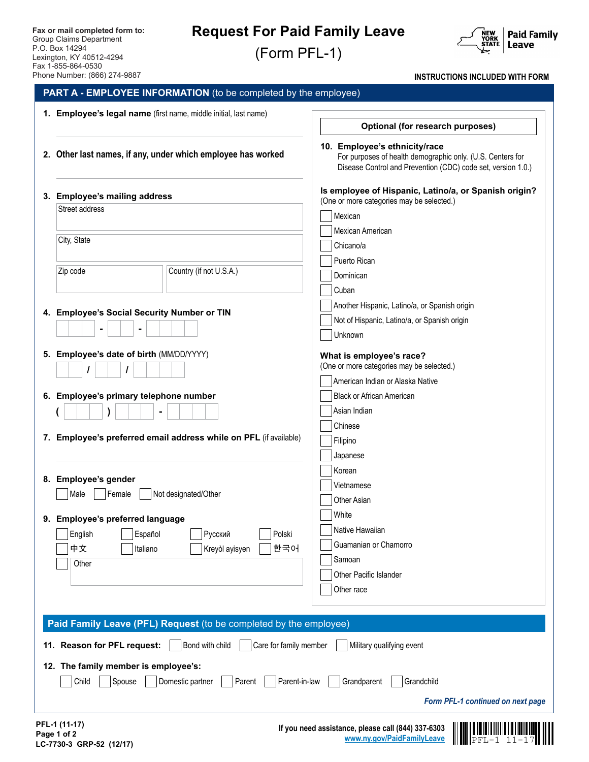# **Request For Paid Family Leave**

(Form PFL-1)



**INSTRUCTIONS INCLUDED WITH FORM**

| 2. Other last names, if any, under which employee has worked<br>3. Employee's mailing address<br>Street address<br>Mexican<br>City, State<br>Country (if not U.S.A.)<br>Cuban<br>4. Employee's Social Security Number or TIN<br>5. Employee's date of birth (MM/DD/YYYY)<br>6. Employee's primary telephone number<br>Chinese<br>7. Employee's preferred email address while on PFL (if available)<br>Filipino<br>Korean<br>8. Employee's gender<br>Not designated/Other<br>Female | 10. Employee's ethnicity/race<br>For purposes of health demographic only. (U.S. Centers for<br>Disease Control and Prevention (CDC) code set, version 1.0.)<br>Is employee of Hispanic, Latino/a, or Spanish origin?<br>(One or more categories may be selected.)<br>Mexican American<br>Chicano/a<br>Puerto Rican<br>Dominican<br>Another Hispanic, Latino/a, or Spanish origin<br>Not of Hispanic, Latino/a, or Spanish origin<br>Unknown<br>What is employee's race? |
|------------------------------------------------------------------------------------------------------------------------------------------------------------------------------------------------------------------------------------------------------------------------------------------------------------------------------------------------------------------------------------------------------------------------------------------------------------------------------------|-------------------------------------------------------------------------------------------------------------------------------------------------------------------------------------------------------------------------------------------------------------------------------------------------------------------------------------------------------------------------------------------------------------------------------------------------------------------------|
|                                                                                                                                                                                                                                                                                                                                                                                                                                                                                    |                                                                                                                                                                                                                                                                                                                                                                                                                                                                         |
|                                                                                                                                                                                                                                                                                                                                                                                                                                                                                    |                                                                                                                                                                                                                                                                                                                                                                                                                                                                         |
|                                                                                                                                                                                                                                                                                                                                                                                                                                                                                    |                                                                                                                                                                                                                                                                                                                                                                                                                                                                         |
|                                                                                                                                                                                                                                                                                                                                                                                                                                                                                    |                                                                                                                                                                                                                                                                                                                                                                                                                                                                         |
|                                                                                                                                                                                                                                                                                                                                                                                                                                                                                    |                                                                                                                                                                                                                                                                                                                                                                                                                                                                         |
|                                                                                                                                                                                                                                                                                                                                                                                                                                                                                    |                                                                                                                                                                                                                                                                                                                                                                                                                                                                         |
|                                                                                                                                                                                                                                                                                                                                                                                                                                                                                    |                                                                                                                                                                                                                                                                                                                                                                                                                                                                         |
|                                                                                                                                                                                                                                                                                                                                                                                                                                                                                    |                                                                                                                                                                                                                                                                                                                                                                                                                                                                         |
|                                                                                                                                                                                                                                                                                                                                                                                                                                                                                    |                                                                                                                                                                                                                                                                                                                                                                                                                                                                         |
|                                                                                                                                                                                                                                                                                                                                                                                                                                                                                    |                                                                                                                                                                                                                                                                                                                                                                                                                                                                         |
|                                                                                                                                                                                                                                                                                                                                                                                                                                                                                    |                                                                                                                                                                                                                                                                                                                                                                                                                                                                         |
|                                                                                                                                                                                                                                                                                                                                                                                                                                                                                    |                                                                                                                                                                                                                                                                                                                                                                                                                                                                         |
|                                                                                                                                                                                                                                                                                                                                                                                                                                                                                    | (One or more categories may be selected.)                                                                                                                                                                                                                                                                                                                                                                                                                               |
|                                                                                                                                                                                                                                                                                                                                                                                                                                                                                    | American Indian or Alaska Native                                                                                                                                                                                                                                                                                                                                                                                                                                        |
|                                                                                                                                                                                                                                                                                                                                                                                                                                                                                    | <b>Black or African American</b>                                                                                                                                                                                                                                                                                                                                                                                                                                        |
|                                                                                                                                                                                                                                                                                                                                                                                                                                                                                    | Asian Indian                                                                                                                                                                                                                                                                                                                                                                                                                                                            |
|                                                                                                                                                                                                                                                                                                                                                                                                                                                                                    |                                                                                                                                                                                                                                                                                                                                                                                                                                                                         |
|                                                                                                                                                                                                                                                                                                                                                                                                                                                                                    |                                                                                                                                                                                                                                                                                                                                                                                                                                                                         |
|                                                                                                                                                                                                                                                                                                                                                                                                                                                                                    | Japanese                                                                                                                                                                                                                                                                                                                                                                                                                                                                |
|                                                                                                                                                                                                                                                                                                                                                                                                                                                                                    |                                                                                                                                                                                                                                                                                                                                                                                                                                                                         |
|                                                                                                                                                                                                                                                                                                                                                                                                                                                                                    | Vietnamese                                                                                                                                                                                                                                                                                                                                                                                                                                                              |
|                                                                                                                                                                                                                                                                                                                                                                                                                                                                                    | Other Asian                                                                                                                                                                                                                                                                                                                                                                                                                                                             |
|                                                                                                                                                                                                                                                                                                                                                                                                                                                                                    |                                                                                                                                                                                                                                                                                                                                                                                                                                                                         |
|                                                                                                                                                                                                                                                                                                                                                                                                                                                                                    | Native Hawaiian                                                                                                                                                                                                                                                                                                                                                                                                                                                         |
|                                                                                                                                                                                                                                                                                                                                                                                                                                                                                    | Guamanian or Chamorro                                                                                                                                                                                                                                                                                                                                                                                                                                                   |
|                                                                                                                                                                                                                                                                                                                                                                                                                                                                                    |                                                                                                                                                                                                                                                                                                                                                                                                                                                                         |
|                                                                                                                                                                                                                                                                                                                                                                                                                                                                                    | Other Pacific Islander                                                                                                                                                                                                                                                                                                                                                                                                                                                  |
|                                                                                                                                                                                                                                                                                                                                                                                                                                                                                    | Other race                                                                                                                                                                                                                                                                                                                                                                                                                                                              |
| English<br>Other                                                                                                                                                                                                                                                                                                                                                                                                                                                                   | White<br><b>Employee's preferred language</b><br>Русский<br>Español<br>Polski<br>한국어<br>Kreyòl ayisyen<br>Italiano<br>Samoan                                                                                                                                                                                                                                                                                                                                            |

**[www.ny.gov/PaidFamilyLeave](http://www.ny.gov/PaidFamilyLeave)** PFL-1 11-17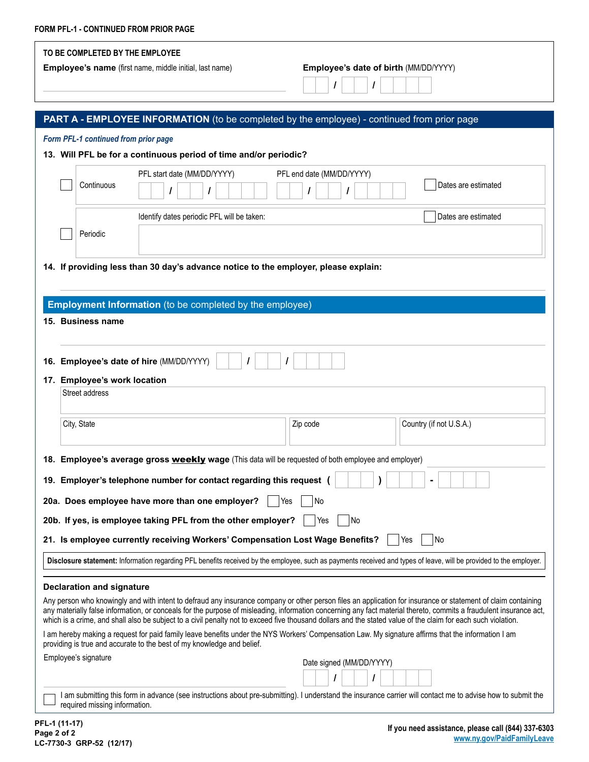| FORM PFL-1 - CONTINUED FROM PRIOR PAGE                                                                                                                                                                                        |                                                                                                                                                                                                                                                                                                                                     |  |  |  |  |
|-------------------------------------------------------------------------------------------------------------------------------------------------------------------------------------------------------------------------------|-------------------------------------------------------------------------------------------------------------------------------------------------------------------------------------------------------------------------------------------------------------------------------------------------------------------------------------|--|--|--|--|
| TO BE COMPLETED BY THE EMPLOYEE<br>Employee's name (first name, middle initial, last name)                                                                                                                                    | Employee's date of birth (MM/DD/YYYY)<br>I                                                                                                                                                                                                                                                                                          |  |  |  |  |
| <b>PART A - EMPLOYEE INFORMATION</b> (to be completed by the employee) - continued from prior page                                                                                                                            |                                                                                                                                                                                                                                                                                                                                     |  |  |  |  |
| Form PFL-1 continued from prior page                                                                                                                                                                                          |                                                                                                                                                                                                                                                                                                                                     |  |  |  |  |
| 13. Will PFL be for a continuous period of time and/or periodic?                                                                                                                                                              |                                                                                                                                                                                                                                                                                                                                     |  |  |  |  |
| PFL start date (MM/DD/YYYY)<br>Continuous                                                                                                                                                                                     | PFL end date (MM/DD/YYYY)<br>Dates are estimated                                                                                                                                                                                                                                                                                    |  |  |  |  |
| Identify dates periodic PFL will be taken:                                                                                                                                                                                    | Dates are estimated                                                                                                                                                                                                                                                                                                                 |  |  |  |  |
| Periodic                                                                                                                                                                                                                      |                                                                                                                                                                                                                                                                                                                                     |  |  |  |  |
| 14. If providing less than 30 day's advance notice to the employer, please explain:                                                                                                                                           |                                                                                                                                                                                                                                                                                                                                     |  |  |  |  |
|                                                                                                                                                                                                                               |                                                                                                                                                                                                                                                                                                                                     |  |  |  |  |
|                                                                                                                                                                                                                               |                                                                                                                                                                                                                                                                                                                                     |  |  |  |  |
| <b>Employment Information</b> (to be completed by the employee)                                                                                                                                                               |                                                                                                                                                                                                                                                                                                                                     |  |  |  |  |
| 15. Business name                                                                                                                                                                                                             |                                                                                                                                                                                                                                                                                                                                     |  |  |  |  |
|                                                                                                                                                                                                                               |                                                                                                                                                                                                                                                                                                                                     |  |  |  |  |
| 16. Employee's date of hire (MM/DD/YYYY)                                                                                                                                                                                      |                                                                                                                                                                                                                                                                                                                                     |  |  |  |  |
| 17. Employee's work location                                                                                                                                                                                                  |                                                                                                                                                                                                                                                                                                                                     |  |  |  |  |
| Street address                                                                                                                                                                                                                |                                                                                                                                                                                                                                                                                                                                     |  |  |  |  |
|                                                                                                                                                                                                                               |                                                                                                                                                                                                                                                                                                                                     |  |  |  |  |
| City, State                                                                                                                                                                                                                   | Country (if not U.S.A.)<br>Zip code                                                                                                                                                                                                                                                                                                 |  |  |  |  |
|                                                                                                                                                                                                                               |                                                                                                                                                                                                                                                                                                                                     |  |  |  |  |
| 18. Employee's average gross weekly wage (This data will be requested of both employee and employer)                                                                                                                          |                                                                                                                                                                                                                                                                                                                                     |  |  |  |  |
| 19. Employer's telephone number for contact regarding this request (                                                                                                                                                          |                                                                                                                                                                                                                                                                                                                                     |  |  |  |  |
|                                                                                                                                                                                                                               |                                                                                                                                                                                                                                                                                                                                     |  |  |  |  |
|                                                                                                                                                                                                                               | 20a. Does employee have more than one employer?<br>Yes<br>  No                                                                                                                                                                                                                                                                      |  |  |  |  |
| 20b. If yes, is employee taking PFL from the other employer?<br>  No<br>Yes                                                                                                                                                   |                                                                                                                                                                                                                                                                                                                                     |  |  |  |  |
| 21. Is employee currently receiving Workers' Compensation Lost Wage Benefits?<br>No<br>Yes                                                                                                                                    |                                                                                                                                                                                                                                                                                                                                     |  |  |  |  |
| Disclosure statement: Information regarding PFL benefits received by the employee, such as payments received and types of leave, will be provided to the employer.                                                            |                                                                                                                                                                                                                                                                                                                                     |  |  |  |  |
|                                                                                                                                                                                                                               |                                                                                                                                                                                                                                                                                                                                     |  |  |  |  |
| <b>Declaration and signature</b>                                                                                                                                                                                              |                                                                                                                                                                                                                                                                                                                                     |  |  |  |  |
| which is a crime, and shall also be subject to a civil penalty not to exceed five thousand dollars and the stated value of the claim for each such violation.                                                                 | Any person who knowingly and with intent to defraud any insurance company or other person files an application for insurance or statement of claim containing<br>any materially false information, or conceals for the purpose of misleading, information concerning any fact material thereto, commits a fraudulent insurance act, |  |  |  |  |
| I am hereby making a request for paid family leave benefits under the NYS Workers' Compensation Law. My signature affirms that the information I am<br>providing is true and accurate to the best of my knowledge and belief. |                                                                                                                                                                                                                                                                                                                                     |  |  |  |  |
| Employee's signature                                                                                                                                                                                                          | Date signed (MM/DD/YYYY)                                                                                                                                                                                                                                                                                                            |  |  |  |  |
|                                                                                                                                                                                                                               |                                                                                                                                                                                                                                                                                                                                     |  |  |  |  |
|                                                                                                                                                                                                                               | I am submitting this form in advance (see instructions about pre-submitting). I understand the insurance carrier will contact me to advise how to submit the                                                                                                                                                                        |  |  |  |  |

required missing information.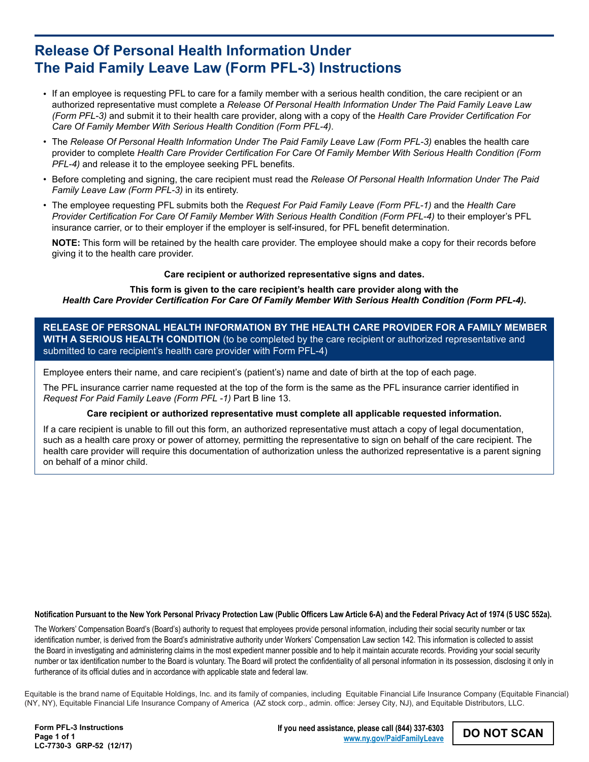# **Release Of Personal Health Information Under The Paid Family Leave Law (Form PFL-3) Instructions**

- If an employee is requesting PFL to care for a family member with a serious health condition, the care recipient or an authorized representative must complete a *Release Of Personal Health Information Under The Paid Family Leave Law (Form PFL-3)* and submit it to their health care provider, along with a copy of the *Health Care Provider Certification For Care Of Family Member With Serious Health Condition (Form PFL-4)*.
- The *Release Of Personal Health Information Under The Paid Family Leave Law (Form PFL-3)* enables the health care provider to complete *Health Care Provider Certification For Care Of Family Member With Serious Health Condition (Form PFL-4)* and release it to the employee seeking PFL benefits.
- Before completing and signing, the care recipient must read the *Release Of Personal Health Information Under The Paid Family Leave Law (Form PFL-3)* in its entirety.
- The employee requesting PFL submits both the *Request For Paid Family Leave (Form PFL-1)* and the *Health Care Provider Certification For Care Of Family Member With Serious Health Condition (Form PFL-4)* to their employer's PFL insurance carrier, or to their employer if the employer is self-insured, for PFL benefit determination.

**NOTE:** This form will be retained by the health care provider. The employee should make a copy for their records before giving it to the health care provider.

## **Care recipient or authorized representative signs and dates.**

**This form is given to the care recipient's health care provider along with the**  *Health Care Provider Certification For Care Of Family Member With Serious Health Condition (Form PFL-4)***.**

**RELEASE OF PERSONAL HEALTH INFORMATION BY THE HEALTH CARE PROVIDER FOR A FAMILY MEMBER WITH A SERIOUS HEALTH CONDITION** (to be completed by the care recipient or authorized representative and submitted to care recipient's health care provider with Form PFL-4)

Employee enters their name, and care recipient's (patient's) name and date of birth at the top of each page.

The PFL insurance carrier name requested at the top of the form is the same as the PFL insurance carrier identified in *Request For Paid Family Leave (Form PFL -1)* Part B line 13.

#### **Care recipient or authorized representative must complete all applicable requested information.**

If a care recipient is unable to fill out this form, an authorized representative must attach a copy of legal documentation, such as a health care proxy or power of attorney, permitting the representative to sign on behalf of the care recipient. The health care provider will require this documentation of authorization unless the authorized representative is a parent signing on behalf of a minor child.

**Notification Pursuant to the New York Personal Privacy Protection Law (Public Officers Law Article 6-A) and the Federal Privacy Act of 1974 (5 USC 552a).**

The Workers' Compensation Board's (Board's) authority to request that employees provide personal information, including their social security number or tax identification number, is derived from the Board's administrative authority under Workers' Compensation Law section 142. This information is collected to assist the Board in investigating and administering claims in the most expedient manner possible and to help it maintain accurate records. Providing your social security number or tax identification number to the Board is voluntary. The Board will protect the confidentiality of all personal information in its possession, disclosing it only in furtherance of its official duties and in accordance with applicable state and federal law.

Equitable is the brand name of Equitable Holdings, Inc. and its family of companies, including Equitable Financial Life Insurance Company (Equitable Financial) (NY, NY), Equitable Financial Life Insurance Company of America (AZ stock corp., admin. office: Jersey City, NJ), and Equitable Distributors, LLC.

**Form PFL-3 Instructions Page 1 of 1 LC-7730-3 GRP-52 (12/17)** **If you need assistance, please call (844) 337-6303 [www.ny.gov/PaidFamilyLeave](http://www.ny.gov/PaidFamilyLeave)**

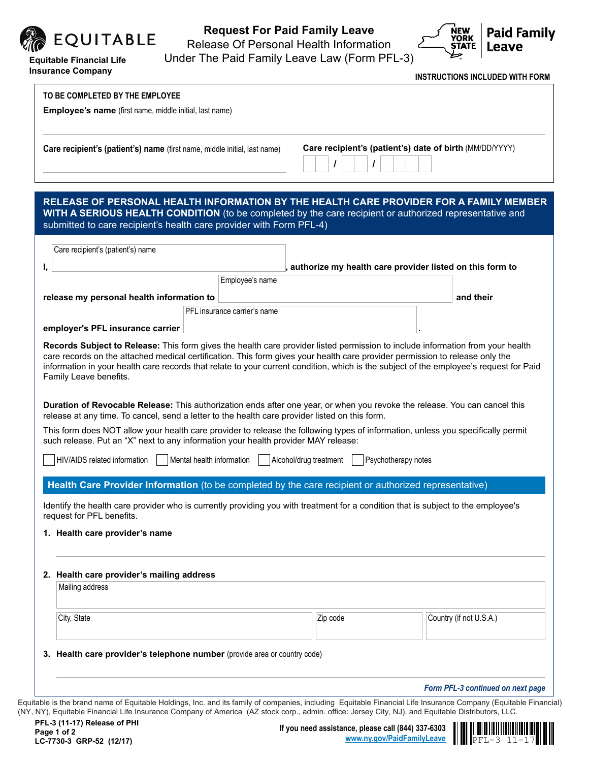

**Insurance Company**

# **Request For Paid Family Leave**

Release Of Personal Health Information



Under The Paid Family Leave Law (Form PFL-3)

**INSTRUCTIONS INCLUDED WITH FORM**

|    | Care recipient's (patient's) name (first name, middle initial, last name)                                                                                                                                                                                                                                                                                |                              | Care recipient's (patient's) date of birth (MM/DD/YYYY)  |                     |                                                                                                                                        |
|----|----------------------------------------------------------------------------------------------------------------------------------------------------------------------------------------------------------------------------------------------------------------------------------------------------------------------------------------------------------|------------------------------|----------------------------------------------------------|---------------------|----------------------------------------------------------------------------------------------------------------------------------------|
|    | RELEASE OF PERSONAL HEALTH INFORMATION BY THE HEALTH CARE PROVIDER FOR A FAMILY MEMBER<br>WITH A SERIOUS HEALTH CONDITION (to be completed by the care recipient or authorized representative and                                                                                                                                                        |                              |                                                          |                     |                                                                                                                                        |
|    | submitted to care recipient's health care provider with Form PFL-4)                                                                                                                                                                                                                                                                                      |                              |                                                          |                     |                                                                                                                                        |
|    | Care recipient's (patient's) name                                                                                                                                                                                                                                                                                                                        |                              |                                                          |                     |                                                                                                                                        |
| Ι, |                                                                                                                                                                                                                                                                                                                                                          |                              | authorize my health care provider listed on this form to |                     |                                                                                                                                        |
|    |                                                                                                                                                                                                                                                                                                                                                          | Employee's name              |                                                          |                     |                                                                                                                                        |
|    | release my personal health information to                                                                                                                                                                                                                                                                                                                |                              |                                                          |                     | and their                                                                                                                              |
|    |                                                                                                                                                                                                                                                                                                                                                          | PFL insurance carrier's name |                                                          |                     |                                                                                                                                        |
|    | employer's PFL insurance carrier<br>Records Subject to Release: This form gives the health care provider listed permission to include information from your health                                                                                                                                                                                       |                              |                                                          |                     |                                                                                                                                        |
|    | Family Leave benefits.<br>Duration of Revocable Release: This authorization ends after one year, or when you revoke the release. You can cancel this                                                                                                                                                                                                     |                              |                                                          |                     | information in your health care records that relate to your current condition, which is the subject of the employee's request for Paid |
|    | release at any time. To cancel, send a letter to the health care provider listed on this form.<br>This form does NOT allow your health care provider to release the following types of information, unless you specifically permit<br>such release. Put an "X" next to any information your health provider MAY release:<br>HIV/AIDS related information | Mental health information    | Alcohol/drug treatment                                   | Psychotherapy notes |                                                                                                                                        |
|    | Health Care Provider Information (to be completed by the care recipient or authorized representative)<br>Identify the health care provider who is currently providing you with treatment for a condition that is subject to the employee's                                                                                                               |                              |                                                          |                     |                                                                                                                                        |
|    | request for PFL benefits.<br>1. Health care provider's name                                                                                                                                                                                                                                                                                              |                              |                                                          |                     |                                                                                                                                        |
|    | 2. Health care provider's mailing address<br>Mailing address                                                                                                                                                                                                                                                                                             |                              |                                                          |                     |                                                                                                                                        |
|    | City, State                                                                                                                                                                                                                                                                                                                                              |                              | Zip code                                                 |                     | Country (if not U.S.A.)                                                                                                                |
|    | 3. Health care provider's telephone number (provide area or country code)                                                                                                                                                                                                                                                                                |                              |                                                          |                     |                                                                                                                                        |

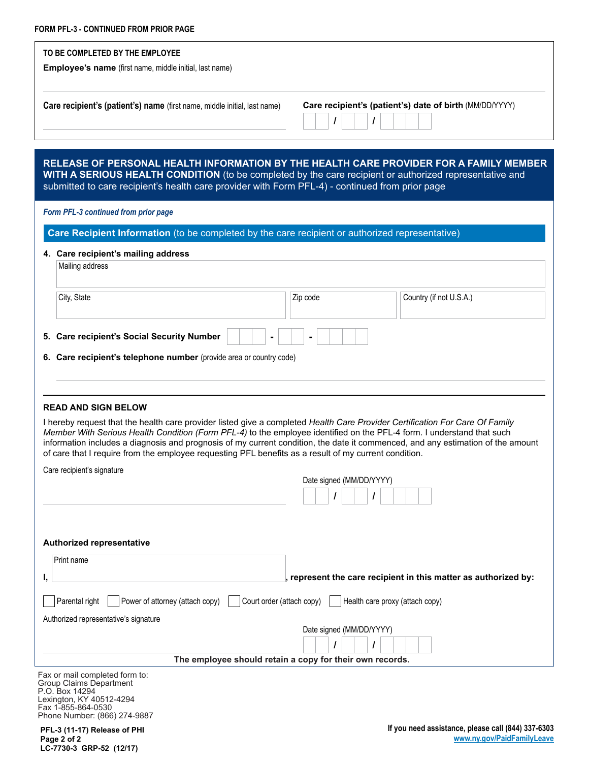| FORM PFL-3 - CONTINUED FROM PRIOR PAGE                                                                                                                                                                     |                                                                                                                                 |
|------------------------------------------------------------------------------------------------------------------------------------------------------------------------------------------------------------|---------------------------------------------------------------------------------------------------------------------------------|
| TO BE COMPLETED BY THE EMPLOYEE                                                                                                                                                                            |                                                                                                                                 |
| Employee's name (first name, middle initial, last name)                                                                                                                                                    |                                                                                                                                 |
|                                                                                                                                                                                                            |                                                                                                                                 |
| Care recipient's (patient's) name (first name, middle initial, last name)                                                                                                                                  | Care recipient's (patient's) date of birth (MM/DD/YYYY)                                                                         |
|                                                                                                                                                                                                            |                                                                                                                                 |
|                                                                                                                                                                                                            |                                                                                                                                 |
|                                                                                                                                                                                                            |                                                                                                                                 |
|                                                                                                                                                                                                            | RELEASE OF PERSONAL HEALTH INFORMATION BY THE HEALTH CARE PROVIDER FOR A FAMILY MEMBER                                          |
| WITH A SERIOUS HEALTH CONDITION (to be completed by the care recipient or authorized representative and<br>submitted to care recipient's health care provider with Form PFL-4) - continued from prior page |                                                                                                                                 |
|                                                                                                                                                                                                            |                                                                                                                                 |
| Form PFL-3 continued from prior page                                                                                                                                                                       |                                                                                                                                 |
| Care Recipient Information (to be completed by the care recipient or authorized representative)                                                                                                            |                                                                                                                                 |
| 4. Care recipient's mailing address                                                                                                                                                                        |                                                                                                                                 |
| Mailing address                                                                                                                                                                                            |                                                                                                                                 |
|                                                                                                                                                                                                            |                                                                                                                                 |
| City, State                                                                                                                                                                                                | Zip code<br>Country (if not U.S.A.)                                                                                             |
|                                                                                                                                                                                                            |                                                                                                                                 |
|                                                                                                                                                                                                            |                                                                                                                                 |
| 5. Care recipient's Social Security Number                                                                                                                                                                 |                                                                                                                                 |
| 6. Care recipient's telephone number (provide area or country code)                                                                                                                                        |                                                                                                                                 |
|                                                                                                                                                                                                            |                                                                                                                                 |
|                                                                                                                                                                                                            |                                                                                                                                 |
| <b>READ AND SIGN BELOW</b>                                                                                                                                                                                 |                                                                                                                                 |
| I hereby request that the health care provider listed give a completed Health Care Provider Certification For Care Of Family                                                                               |                                                                                                                                 |
| Member With Serious Health Condition (Form PFL-4) to the employee identified on the PFL-4 form. I understand that such                                                                                     | information includes a diagnosis and prognosis of my current condition, the date it commenced, and any estimation of the amount |
| of care that I require from the employee requesting PFL benefits as a result of my current condition.                                                                                                      |                                                                                                                                 |
| Care recipient's signature                                                                                                                                                                                 |                                                                                                                                 |
|                                                                                                                                                                                                            | Date signed (MM/DD/YYYY)                                                                                                        |
|                                                                                                                                                                                                            |                                                                                                                                 |
|                                                                                                                                                                                                            |                                                                                                                                 |
|                                                                                                                                                                                                            |                                                                                                                                 |
| Authorized representative                                                                                                                                                                                  |                                                                                                                                 |
| Print name                                                                                                                                                                                                 |                                                                                                                                 |
| ı,                                                                                                                                                                                                         | represent the care recipient in this matter as authorized by:                                                                   |
|                                                                                                                                                                                                            |                                                                                                                                 |
| Power of attorney (attach copy)<br>Court order (attach copy)<br>Parental right                                                                                                                             | Health care proxy (attach copy)                                                                                                 |
| Authorized representative's signature                                                                                                                                                                      | Date signed (MM/DD/YYYY)                                                                                                        |
|                                                                                                                                                                                                            | $\prime$                                                                                                                        |
|                                                                                                                                                                                                            | The employee should retain a copy for their own records.                                                                        |

Fax or mail completed form to: Group Claims Department P.O. Box 14294 Lexington, KY 40512-4294 Fax 1-855-864-0530 Phone Number: (866) 274-9887

**PFL-3 (11-17) Release of PHI Page 2 of 2 LC-7730-3 GRP-52 (12/17)**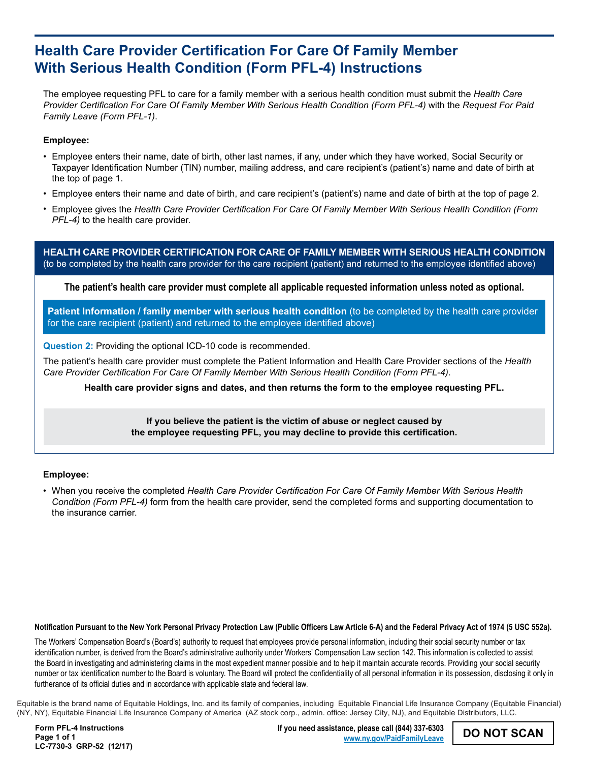# **Health Care Provider Certification For Care Of Family Member With Serious Health Condition (Form PFL-4) Instructions**

The employee requesting PFL to care for a family member with a serious health condition must submit the *Health Care Provider Certification For Care Of Family Member With Serious Health Condition (Form PFL-4)* with the *Request For Paid Family Leave (Form PFL-1)*.

## **Employee:**

- Employee enters their name, date of birth, other last names, if any, under which they have worked, Social Security or Taxpayer Identification Number (TIN) number, mailing address, and care recipient's (patient's) name and date of birth at the top of page 1.
- Employee enters their name and date of birth, and care recipient's (patient's) name and date of birth at the top of page 2. •
- Employee gives the *Health Care Provider Certification For Care Of Family Member With Serious Health Condition (Form PFL-4)* to the health care provider.

**HEALTH CARE PROVIDER CERTIFICATION FOR CARE OF FAMILY MEMBER WITH SERIOUS HEALTH CONDITION**  (to be completed by the health care provider for the care recipient (patient) and returned to the employee identified above)

**The patient's health care provider must complete all applicable requested information unless noted as optional.**

**Patient Information / family member with serious health condition** (to be completed by the health care provider for the care recipient (patient) and returned to the employee identified above)

**Question 2:** Providing the optional ICD-10 code is recommended.

The patient's health care provider must complete the Patient Information and Health Care Provider sections of the *Health Care Provider Certification For Care Of Family Member With Serious Health Condition (Form PFL-4)*.

**Health care provider signs and dates, and then returns the form to the employee requesting PFL.**

**If you believe the patient is the victim of abuse or neglect caused by the employee requesting PFL, you may decline to provide this certification.**

## **Employee:**

When you receive the completed *Health Care Provider Certification For Care Of Family Member With Serious Health*  • *Condition (Form PFL-4)* form from the health care provider, send the completed forms and supporting documentation to the insurance carrier.

#### **Notification Pursuant to the New York Personal Privacy Protection Law (Public Officers Law Article 6-A) and the Federal Privacy Act of 1974 (5 USC 552a).**

The Workers' Compensation Board's (Board's) authority to request that employees provide personal information, including their social security number or tax identification number, is derived from the Board's administrative authority under Workers' Compensation Law section 142. This information is collected to assist the Board in investigating and administering claims in the most expedient manner possible and to help it maintain accurate records. Providing your social security number or tax identification number to the Board is voluntary. The Board will protect the confidentiality of all personal information in its possession, disclosing it only in furtherance of its official duties and in accordance with applicable state and federal law.

Equitable is the brand name of Equitable Holdings, Inc. and its family of companies, including Equitable Financial Life Insurance Company (Equitable Financial) (NY, NY), Equitable Financial Life Insurance Company of America (AZ stock corp., admin. office: Jersey City, NJ), and Equitable Distributors, LLC.

**Form PFL-4 Instructions Page 1 of 1 LC-7730-3 GRP-52 (12/17)** **If you need assistance, please call (844) 337-6303 [www.ny.gov/PaidFamilyLeave](http://www.ny.gov/PaidFamilyLeave)**

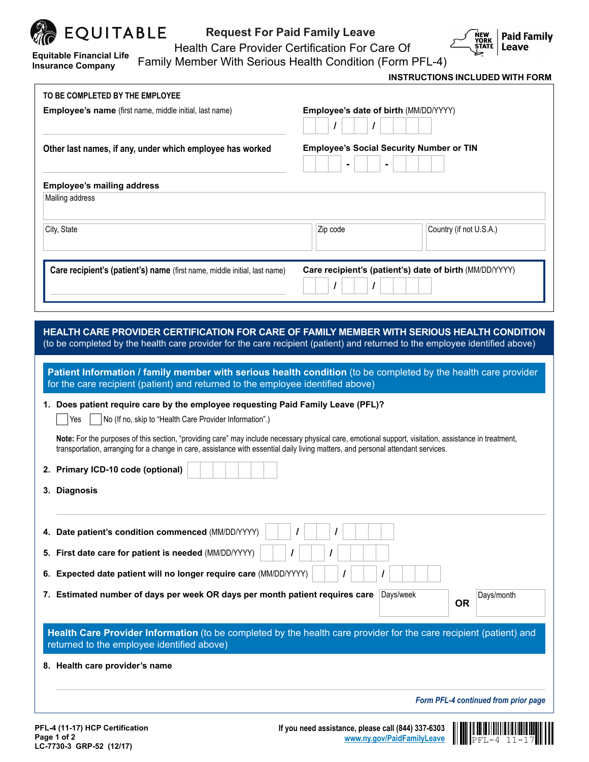

**Equitable Financial Life Insurance Company**

**LC-7730-3 GRP-52 (12/17)**

# **Request For Paid Family Leave**



Health Care Provider Certification For Care Of

Family Member With Serious Health Condition (Form PFL-4)

**INSTRUCTIONS INCLUDED WITH FORM**

PFL-4 11-17 **[www.ny.gov/PaidFamilyLeave](http://www.ny.gov/PaidFamilyLeave)**

|                                                                                                                                                                                                                                                                                                                                                         | Employee's date of birth (MM/DD/YYYY)<br>T<br>I                                                                                                                                                                            |
|---------------------------------------------------------------------------------------------------------------------------------------------------------------------------------------------------------------------------------------------------------------------------------------------------------------------------------------------------------|----------------------------------------------------------------------------------------------------------------------------------------------------------------------------------------------------------------------------|
|                                                                                                                                                                                                                                                                                                                                                         |                                                                                                                                                                                                                            |
| Other last names, if any, under which employee has worked                                                                                                                                                                                                                                                                                               | <b>Employee's Social Security Number or TIN</b>                                                                                                                                                                            |
| <b>Employee's mailing address</b>                                                                                                                                                                                                                                                                                                                       |                                                                                                                                                                                                                            |
| Mailing address                                                                                                                                                                                                                                                                                                                                         |                                                                                                                                                                                                                            |
| City, State                                                                                                                                                                                                                                                                                                                                             | Zip code<br>Country (if not U.S.A.)                                                                                                                                                                                        |
| Care recipient's (patient's) name (first name, middle initial, last name)                                                                                                                                                                                                                                                                               | Care recipient's (patient's) date of birth (MM/DD/YYYY)<br>I<br>I                                                                                                                                                          |
|                                                                                                                                                                                                                                                                                                                                                         | HEALTH CARE PROVIDER CERTIFICATION FOR CARE OF FAMILY MEMBER WITH SERIOUS HEALTH CONDITION<br>(to be completed by the health care provider for the care recipient (patient) and returned to the employee identified above) |
| for the care recipient (patient) and returned to the employee identified above)                                                                                                                                                                                                                                                                         | Patient Information / family member with serious health condition (to be completed by the health care provider                                                                                                             |
| 1. Does patient require care by the employee requesting Paid Family Leave (PFL)?                                                                                                                                                                                                                                                                        |                                                                                                                                                                                                                            |
| No (If no, skip to "Health Care Provider Information".)<br>Yes                                                                                                                                                                                                                                                                                          |                                                                                                                                                                                                                            |
| Note: For the purposes of this section, "providing care" may include necessary physical care, emotional support, visitation, assistance in treatment,<br>transportation, arranging for a change in care, assistance with essential daily living matters, and personal attendant services.                                                               |                                                                                                                                                                                                                            |
|                                                                                                                                                                                                                                                                                                                                                         |                                                                                                                                                                                                                            |
|                                                                                                                                                                                                                                                                                                                                                         |                                                                                                                                                                                                                            |
|                                                                                                                                                                                                                                                                                                                                                         |                                                                                                                                                                                                                            |
|                                                                                                                                                                                                                                                                                                                                                         | I                                                                                                                                                                                                                          |
|                                                                                                                                                                                                                                                                                                                                                         |                                                                                                                                                                                                                            |
|                                                                                                                                                                                                                                                                                                                                                         |                                                                                                                                                                                                                            |
|                                                                                                                                                                                                                                                                                                                                                         | Days/week<br>Days/month<br><b>OR</b>                                                                                                                                                                                       |
| returned to the employee identified above)                                                                                                                                                                                                                                                                                                              |                                                                                                                                                                                                                            |
|                                                                                                                                                                                                                                                                                                                                                         | Health Care Provider Information (to be completed by the health care provider for the care recipient (patient) and                                                                                                         |
| 2. Primary ICD-10 code (optional)<br>3. Diagnosis<br>4. Date patient's condition commenced (MM/DD/YYYY)<br>5. First date care for patient is needed (MM/DD/YYYY)<br>6. Expected date patient will no longer require care (MM/DD/YYYY)<br>7. Estimated number of days per week OR days per month patient requires care<br>8. Health care provider's name | Form PFL-4 continued from prior page                                                                                                                                                                                       |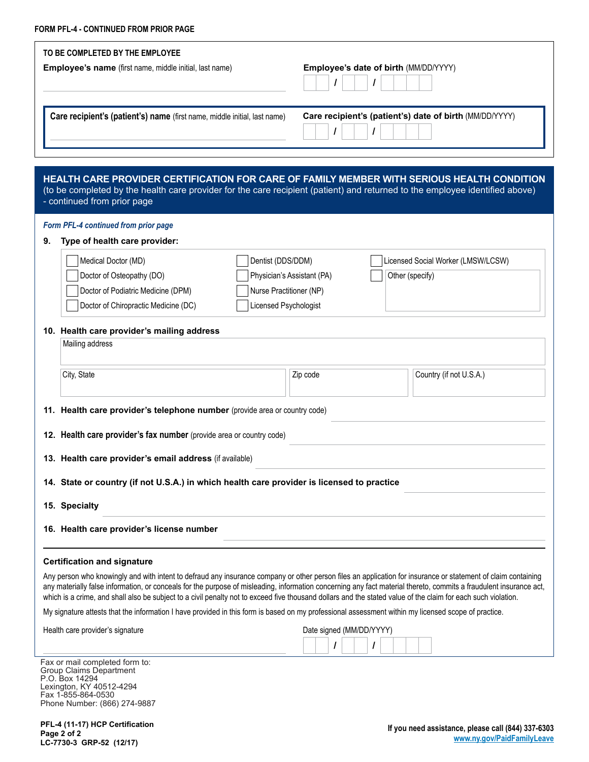| TO BE COMPLETED BY THE EMPLOYEE<br><b>Employee's name</b> (first name, middle initial, last name)                                                                                                  | Employee's date of birth (MM/DD/YYYY)                                                                                        |
|----------------------------------------------------------------------------------------------------------------------------------------------------------------------------------------------------|------------------------------------------------------------------------------------------------------------------------------|
| Care recipient's (patient's) name (first name, middle initial, last name)                                                                                                                          | Care recipient's (patient's) date of birth (MM/DD/YYYY)                                                                      |
|                                                                                                                                                                                                    | (to be completed by the health care provider for the care recipient (patient) and returned to the employee identified above) |
| HEALTH CARE PROVIDER CERTIFICATION FOR CARE OF FAMILY MEMBER WITH SERIOUS HEALTH CONDITION<br>- continued from prior page<br>Form PFL-4 continued from prior page<br>Type of health care provider: |                                                                                                                              |

**11. Health care provider's telephone number** (provide area or country code)

**12. Health care provider's fax number** (provide area or country code)

**13. Health care provider's email address** (if available)

**14. State or country (if not U.S.A.) in which health care provider is licensed to practice**

**15. Specialty**

**16. Health care provider's license number**

## **Certification and signature**

Any person who knowingly and with intent to defraud any insurance company or other person files an application for insurance or statement of claim containing any materially false information, or conceals for the purpose of misleading, information concerning any fact material thereto, commits a fraudulent insurance act, which is a crime, and shall also be subject to a civil penalty not to exceed five thousand dollars and the stated value of the claim for each such violation.

My signature attests that the information I have provided in this form is based on my professional assessment within my licensed scope of practice.

Health care provider's signature

| Date signed (MM/DD/YYYY) |  |  |  |  |  |  |  |  |
|--------------------------|--|--|--|--|--|--|--|--|
|                          |  |  |  |  |  |  |  |  |

Fax or mail completed form to: Group Claims Department P.O. Box 14294 Lexington, KY 40512-4294 Fax 1-855-864-0530 Phone Number: (866) 274-9887

**PFL-4 (11-17) HCP Certification Page 2 of 2 LC-7730-3 GRP-52 (12/17)**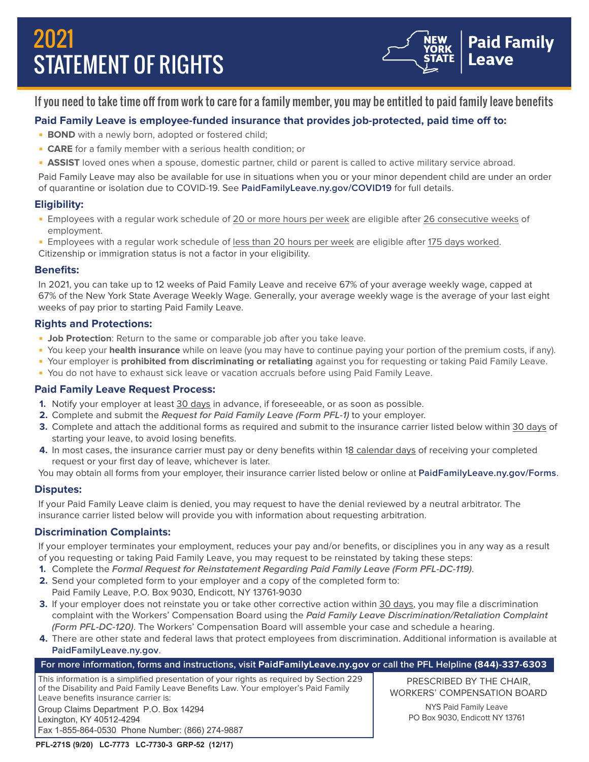# 2021 STATEMENT OF RIGHTS



# If you need to take time off from work to care for a family member, you may be entitled to paid family leave benefits

# **Paid Family Leave is employee-funded insurance that provides job-protected, paid time off to:**

- **BOND** with a newly born, adopted or fostered child;
- **CARE** for a family member with a serious health condition; or
- **ASSIST** loved ones when a spouse, domestic partner, child or parent is called to active military service abroad.

Paid Family Leave may also be available for use in situations when you or your minor dependent child are under an order of quarantine or isolation due to COVID-19. See **[PaidFamilyLeave.ny.gov/COVID19](http://PaidFamilyLeave.ny.gov/COVID19)** for full details.

# **Eligibility:**

- **Employees with a regular work schedule of 20 or more hours per week are eligible after 26 consecutive weeks of** employment.
- **Employees with a regular work schedule of less than 20 hours per week are eligible after 175 days worked.**
- Citizenship or immigration status is not a factor in your eligibility.

# **Benefits:**

In 2021, you can take up to 12 weeks of Paid Family Leave and receive 67% of your average weekly wage, capped at 67% of the New York State Average Weekly Wage. Generally, your average weekly wage is the average of your last eight weeks of pay prior to starting Paid Family Leave.

# **Rights and Protections:**

- **Job Protection**: Return to the same or comparable job after you take leave.
- You keep your **health insurance** while on leave (you may have to continue paying your portion of the premium costs, if any).
- Your employer is **prohibited from discriminating or retaliating** against you for requesting or taking Paid Family Leave.
- You do not have to exhaust sick leave or vacation accruals before using Paid Family Leave.

# **Paid Family Leave Request Process:**

- **1.** Notify your employer at least 30 days in advance, if foreseeable, or as soon as possible.
- **2.** Complete and submit the **Request for Paid Family Leave (Form PFL-1)** to your employer.
- **3.** Complete and attach the additional forms as required and submit to the insurance carrier listed below within 30 days of starting your leave, to avoid losing benefits.
- **4.** In most cases, the insurance carrier must pay or deny benefits within 18 calendar days of receiving your completed request or your first day of leave, whichever is later.
- You may obtain all forms from your employer, their insurance carrier listed below or online at **[PaidFamilyLeave.ny.gov/Forms](http://PaidFamilyLeave.ny.gov/Forms)**.

# **Disputes:**

If your Paid Family Leave claim is denied, you may request to have the denial reviewed by a neutral arbitrator. The insurance carrier listed below will provide you with information about requesting arbitration.

# **Discrimination Complaints:**

If your employer terminates your employment, reduces your pay and/or benefits, or disciplines you in any way as a result of you requesting or taking Paid Family Leave, you may request to be reinstated by taking these steps:

- **1.** Complete the **Formal Request for Reinstatement Regarding Paid Family Leave (Form PFL-DC-119)**.
- **2.** Send your completed form to your employer and a copy of the completed form to: Paid Family Leave, P.O. Box 9030, Endicott, NY 13761-9030
- **3.** If your employer does not reinstate you or take other corrective action within 30 days, you may file a discrimination complaint with the Workers' Compensation Board using the **Paid Family Leave Discrimination/Retaliation Complaint (Form PFL-DC-120)**. The Workers' Compensation Board will assemble your case and schedule a hearing.
- **4.** There are other state and federal laws that protect employees from discrimination. Additional information is available at **[PaidFamilyLeave.ny.gov](http://PaidFamilyLeave.ny.gov)**.

# **For more information, forms and instructions, visit [PaidFamilyLeave.ny.gov](http://PaidFamilyLeave.ny.gov) or call the PFL Helpline (844)-337-6303**

This information is a simplified presentation of your rights as required by Section 229 of the Disability and Paid Family Leave Benefits Law. Your employer's Paid Family Leave benefits insurance carrier is: Group Claims Department P.O. Box 14294 Lexington, KY 40512-4294 Fax 1-855-864-0530 Phone Number: (866) 274-9887

PRESCRIBED BY THE CHAIR, WORKERS' COMPENSATION BOARD

> NYS Paid Family Leave PO Box 9030, Endicott NY 13761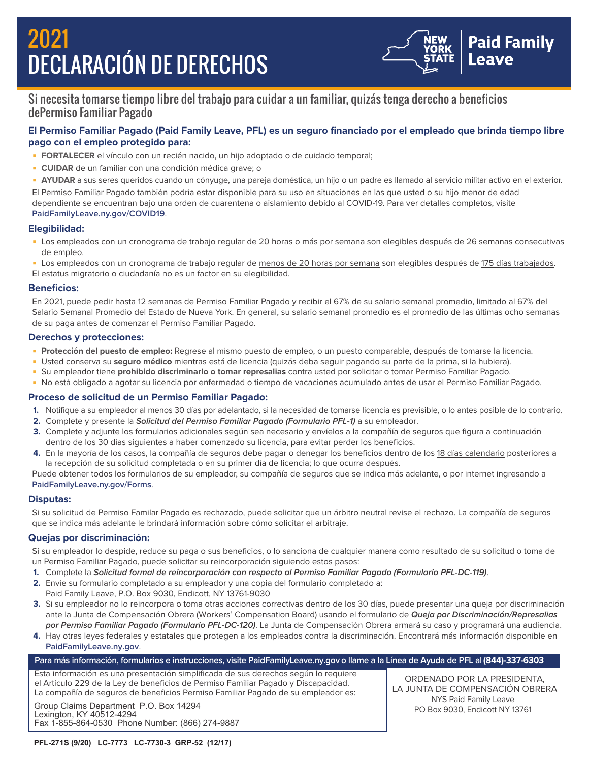# 2021 DECLARACIÓN DE DERECHOS



# Si necesita tomarse tiempo libre del trabajo para cuidar a un familiar, quizás tenga derecho a beneficios dePermiso Familiar Pagado

# **El Permiso Familiar Pagado (Paid Family Leave, PFL) es un seguro financiado por el empleado que brinda tiempo libre pago con el empleo protegido para:**

- **FORTALECER** el vínculo con un recién nacido, un hijo adoptado o de cuidado temporal;
- **CUIDAR** de un familiar con una condición médica grave; o

■ **AYUDAR** a sus seres queridos cuando un cónyuge, una pareja doméstica, un hijo o un padre es llamado al servicio militar activo en el exterior. El Permiso Familiar Pagado también podría estar disponible para su uso en situaciones en las que usted o su hijo menor de edad dependiente se encuentran bajo una orden de cuarentena o aislamiento debido al COVID-19. Para ver detalles completos, visite **[PaidFamilyLeave.ny.gov/COVID19](http://PaidFamilyLeave.ny.gov/COVID19)**.

## **Elegibilidad:**

- Los empleados con un cronograma de trabajo regular de 20 horas o más por semana son elegibles después de 26 semanas consecutivas de empleo.
- Los empleados con un cronograma de trabajo regular de menos de 20 horas por semana son elegibles después de 175 días trabajados. El estatus migratorio o ciudadanía no es un factor en su elegibilidad.

## **Beneficios:**

En 2021, puede pedir hasta 12 semanas de Permiso Familiar Pagado y recibir el 67% de su salario semanal promedio, limitado al 67% del Salario Semanal Promedio del Estado de Nueva York. En general, su salario semanal promedio es el promedio de las últimas ocho semanas de su paga antes de comenzar el Permiso Familiar Pagado.

## **Derechos y protecciones:**

- **Protección del puesto de empleo:** Regrese al mismo puesto de empleo, o un puesto comparable, después de tomarse la licencia.
- Usted conserva su **seguro médico** mientras está de licencia (quizás deba seguir pagando su parte de la prima, si la hubiera).
- Su empleador tiene **prohibido discriminarlo o tomar represalias** contra usted por solicitar o tomar Permiso Familiar Pagado.
- No está obligado a agotar su licencia por enfermedad o tiempo de vacaciones acumulado antes de usar el Permiso Familiar Pagado.

## **Proceso de solicitud de un Permiso Familiar Pagado:**

- **1.** Notifique a su empleador al menos 30 días por adelantado, si la necesidad de tomarse licencia es previsible, o lo antes posible de lo contrario.
- **2.** Complete y presente la **Solicitud del Permiso Familiar Pagado (Formulario PFL-1)** a su empleador.
- **3.** Complete y adjunte los formularios adicionales según sea necesario y envíelos a la compañía de seguros que figura a continuación dentro de los 30 días siguientes a haber comenzado su licencia, para evitar perder los beneficios.
- **4.** En la mayoría de los casos, la compañía de seguros debe pagar o denegar los beneficios dentro de los 18 días calendario posteriores a la recepción de su solicitud completada o en su primer día de licencia; lo que ocurra después.

Puede obtener todos los formularios de su empleador, su compañía de seguros que se indica más adelante, o por internet ingresando a **[PaidFamilyLeave.ny.gov/Forms](http://PaidFamilyLeave.ny.gov/Forms)**.

## **Disputas:**

Si su solicitud de Permiso Familar Pagado es rechazado, puede solicitar que un árbitro neutral revise el rechazo. La compañía de seguros que se indica más adelante le brindará información sobre cómo solicitar el arbitraje.

## **Quejas por discriminación:**

Si su empleador lo despide, reduce su paga o sus beneficios, o lo sanciona de cualquier manera como resultado de su solicitud o toma de un Permiso Familiar Pagado, puede solicitar su reincorporación siguiendo estos pasos:

- **1.** Complete la **Solicitud formal de reincorporación con respecto al Permiso Familiar Pagado (Formulario PFL-DC-119)**.
- **2.** Envíe su formulario completado a su empleador y una copia del formulario completado a:
- Paid Family Leave, P.O. Box 9030, Endicott, NY 13761-9030
- **3.** Si su empleador no lo reincorpora o toma otras acciones correctivas dentro de los 30 días, puede presentar una queja por discriminación ante la Junta de Compensación Obrera (Workers' Compensation Board) usando el formulario de **Queja por Discriminación/Represalias por Permiso Familiar Pagado (Formulario PFL-DC-120)**. La Junta de Compensación Obrera armará su caso y programará una audiencia.
- **4.** Hay otras leyes federales y estatales que protegen a los empleados contra la discriminación. Encontrará más información disponible en **[PaidFamilyLeave.ny.gov](http://PaidFamilyLeave.ny.gov)**.

# **Para más información, formularios e instrucciones, visite [PaidFamilyLeave.ny.gov](http://PaidFamilyLeave.ny.gov) o llame a la Línea de Ayuda de PFL al (844)-337-6303**

Esta información es una presentación simplificada de sus derechos según lo requiere el Artículo 229 de la Ley de beneficios de Permiso Familiar Pagado y Discapacidad. La compañía de seguros de beneficios Permiso Familiar Pagado de su empleador es:

Group Claims Department P.O. Box 14294 Lexington, KY 40512-4294 Fax 1-855-864-0530 Phone Number: (866) 274-9887

ORDENADO POR LA PRESIDENTA, LA JUNTA DE COMPENSACIÓN OBRERA NYS Paid Family Leave PO Box 9030, Endicott NY 13761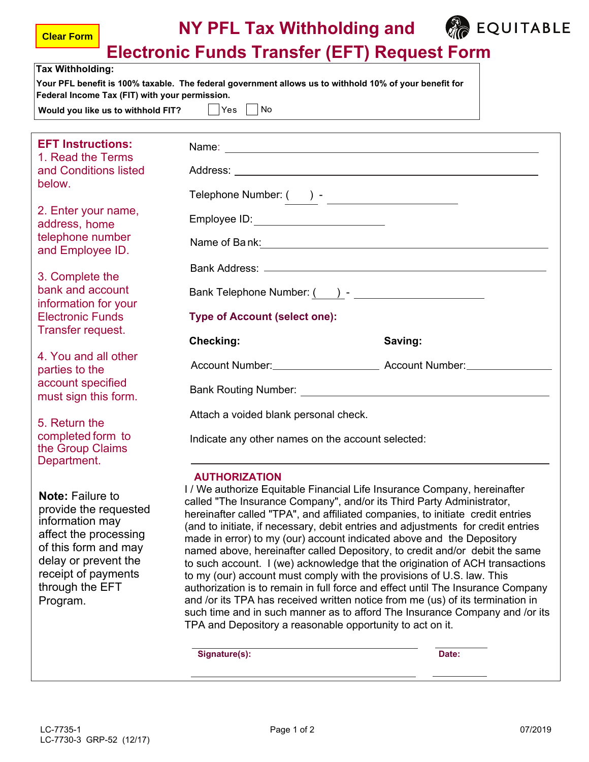

**Electronic Funds Transfer (EFT) Request Form**

| <b>Tax Withholding:</b>                                                                                                                                                                            | Lived only I and Transfer (Li T) Request Form<br>Your PFL benefit is 100% taxable. The federal government allows us to withhold 10% of your benefit for                                                                                                                                                                                                                                                                                                                                                                                                                                                                                                                                                                                                                                                                                                                                                                                                                           |         |  |  |  |
|----------------------------------------------------------------------------------------------------------------------------------------------------------------------------------------------------|-----------------------------------------------------------------------------------------------------------------------------------------------------------------------------------------------------------------------------------------------------------------------------------------------------------------------------------------------------------------------------------------------------------------------------------------------------------------------------------------------------------------------------------------------------------------------------------------------------------------------------------------------------------------------------------------------------------------------------------------------------------------------------------------------------------------------------------------------------------------------------------------------------------------------------------------------------------------------------------|---------|--|--|--|
| Federal Income Tax (FIT) with your permission.<br>Would you like us to withhold FIT? $ $ $ $ Yes $ $ $ $ No                                                                                        |                                                                                                                                                                                                                                                                                                                                                                                                                                                                                                                                                                                                                                                                                                                                                                                                                                                                                                                                                                                   |         |  |  |  |
| <b>EFT Instructions:</b><br>1. Read the Terms                                                                                                                                                      |                                                                                                                                                                                                                                                                                                                                                                                                                                                                                                                                                                                                                                                                                                                                                                                                                                                                                                                                                                                   |         |  |  |  |
| and Conditions listed<br>below.                                                                                                                                                                    |                                                                                                                                                                                                                                                                                                                                                                                                                                                                                                                                                                                                                                                                                                                                                                                                                                                                                                                                                                                   |         |  |  |  |
| 2. Enter your name,<br>address, home                                                                                                                                                               | Employee ID: _________________________                                                                                                                                                                                                                                                                                                                                                                                                                                                                                                                                                                                                                                                                                                                                                                                                                                                                                                                                            |         |  |  |  |
| telephone number<br>and Employee ID.                                                                                                                                                               | Name of Bank: <u>contained a set of Bank:</u> Contained a set of Bank:                                                                                                                                                                                                                                                                                                                                                                                                                                                                                                                                                                                                                                                                                                                                                                                                                                                                                                            |         |  |  |  |
| 3. Complete the<br>bank and account                                                                                                                                                                | Bank Telephone Number: ( ) - ______________________                                                                                                                                                                                                                                                                                                                                                                                                                                                                                                                                                                                                                                                                                                                                                                                                                                                                                                                               |         |  |  |  |
| information for your<br><b>Electronic Funds</b>                                                                                                                                                    | <b>Type of Account (select one):</b>                                                                                                                                                                                                                                                                                                                                                                                                                                                                                                                                                                                                                                                                                                                                                                                                                                                                                                                                              |         |  |  |  |
| Transfer request.                                                                                                                                                                                  | <b>Checking:</b>                                                                                                                                                                                                                                                                                                                                                                                                                                                                                                                                                                                                                                                                                                                                                                                                                                                                                                                                                                  | Saving: |  |  |  |
| 4. You and all other<br>parties to the<br>account specified                                                                                                                                        | Account Number: Account Number: Account Number:                                                                                                                                                                                                                                                                                                                                                                                                                                                                                                                                                                                                                                                                                                                                                                                                                                                                                                                                   |         |  |  |  |
| must sign this form.                                                                                                                                                                               |                                                                                                                                                                                                                                                                                                                                                                                                                                                                                                                                                                                                                                                                                                                                                                                                                                                                                                                                                                                   |         |  |  |  |
| 5. Return the<br>completed form to<br>the Group Claims<br>Department.                                                                                                                              | Attach a voided blank personal check.<br>Indicate any other names on the account selected:                                                                                                                                                                                                                                                                                                                                                                                                                                                                                                                                                                                                                                                                                                                                                                                                                                                                                        |         |  |  |  |
| <b>Note: Failure to</b><br>provide the requested<br>information may<br>affect the processing<br>of this form and may<br>delay or prevent the<br>receipt of payments<br>through the EFT<br>Program. | <b>AUTHORIZATION</b><br>I / We authorize Equitable Financial Life Insurance Company, hereinafter<br>called "The Insurance Company", and/or its Third Party Administrator,<br>hereinafter called "TPA", and affiliated companies, to initiate credit entries<br>(and to initiate, if necessary, debit entries and adjustments for credit entries<br>made in error) to my (our) account indicated above and the Depository<br>named above, hereinafter called Depository, to credit and/or debit the same<br>to such account. I (we) acknowledge that the origination of ACH transactions<br>to my (our) account must comply with the provisions of U.S. law. This<br>authorization is to remain in full force and effect until The Insurance Company<br>and /or its TPA has received written notice from me (us) of its termination in<br>such time and in such manner as to afford The Insurance Company and /or its<br>TPA and Depository a reasonable opportunity to act on it. |         |  |  |  |
|                                                                                                                                                                                                    | Signature(s):                                                                                                                                                                                                                                                                                                                                                                                                                                                                                                                                                                                                                                                                                                                                                                                                                                                                                                                                                                     | Date:   |  |  |  |

**Clear Form**